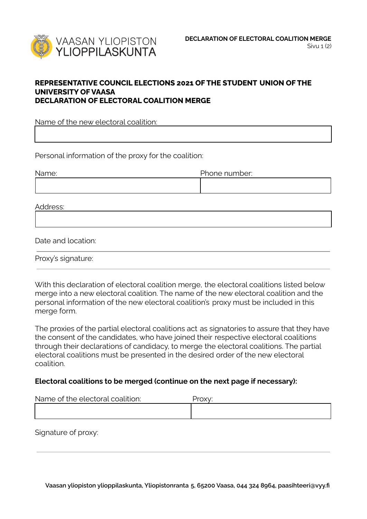

## **REPRESENTATIVE COUNCIL ELECTIONS 2021 OF THE STUDENT UNION OF THE UNIVERSITY OF VAASA DECLARATION OF ELECTORAL COALITION MERGE**

Name of the new electoral coalition:

Personal information of the proxy for the coalition:

| Name: | Phone number: |
|-------|---------------|
|       |               |

Address:

Date and location:

Proxy's signature:

With this declaration of electoral coalition merge, the electoral coalitions listed below merge into a new electoral coalition. The name of the new electoral coalition and the personal information of the new electoral coalition's proxy must be included in this merge form.

The proxies of the partial electoral coalitions act as signatories to assure that they have the consent of the candidates, who have joined their respective electoral coalitions through their declarations of candidacy, to merge the electoral coalitions. The partial electoral coalitions must be presented in the desired order of the new electoral coalition.

## **Electoral coalitions to be merged (continue on the next page if necessary):**

| Name of the electoral coalition: | Proxv: |
|----------------------------------|--------|
|                                  |        |

Signature of proxy: